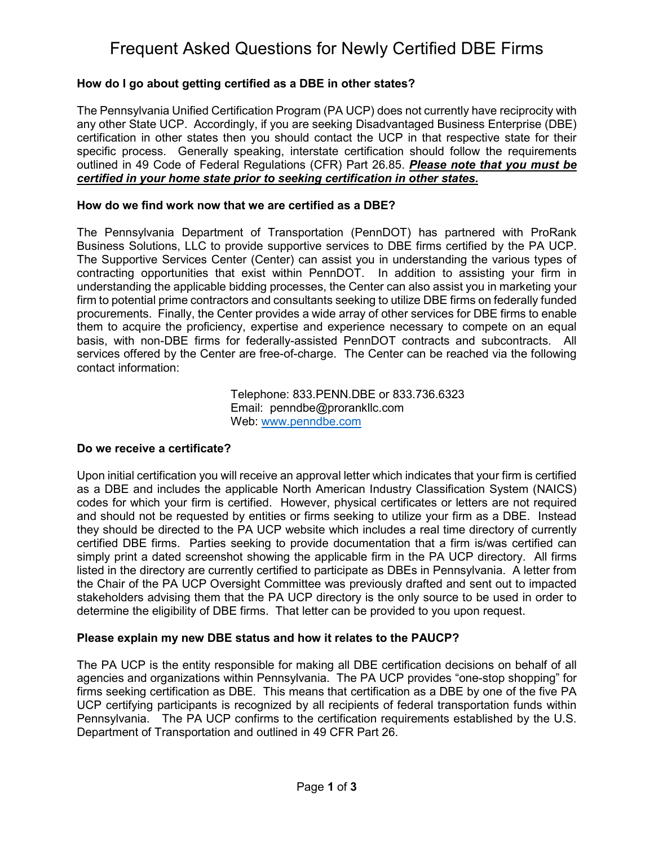# Frequent Asked Questions for Newly Certified DBE Firms

### **How do I go about getting certified as a DBE in other states?**

The Pennsylvania Unified Certification Program (PA UCP) does not currently have reciprocity with any other State UCP. Accordingly, if you are seeking Disadvantaged Business Enterprise (DBE) certification in other states then you should contact the UCP in that respective state for their specific process. Generally speaking, interstate certification should follow the requirements outlined in 49 Code of Federal Regulations (CFR) Part 26.85. *Please note that you must be certified in your home state prior to seeking certification in other states.*

#### **How do we find work now that we are certified as a DBE?**

The Pennsylvania Department of Transportation (PennDOT) has partnered with ProRank Business Solutions, LLC to provide supportive services to DBE firms certified by the PA UCP. The Supportive Services Center (Center) can assist you in understanding the various types of contracting opportunities that exist within PennDOT. In addition to assisting your firm in understanding the applicable bidding processes, the Center can also assist you in marketing your firm to potential prime contractors and consultants seeking to utilize DBE firms on federally funded procurements. Finally, the Center provides a wide array of other services for DBE firms to enable them to acquire the proficiency, expertise and experience necessary to compete on an equal basis, with non-DBE firms for federally-assisted PennDOT contracts and subcontracts. All services offered by the Center are free-of-charge. The Center can be reached via the following contact information:

> Telephone: 833.PENN.DBE or 833.736.6323 Email: penndbe@prorankllc.com Web: [www.penndbe.com](http://www.penndbe.com/)

#### **Do we receive a certificate?**

Upon initial certification you will receive an approval letter which indicates that your firm is certified as a DBE and includes the applicable North American Industry Classification System (NAICS) codes for which your firm is certified. However, physical certificates or letters are not required and should not be requested by entities or firms seeking to utilize your firm as a DBE. Instead they should be directed to the PA UCP website which includes a real time directory of currently certified DBE firms. Parties seeking to provide documentation that a firm is/was certified can simply print a dated screenshot showing the applicable firm in the PA UCP directory. All firms listed in the directory are currently certified to participate as DBEs in Pennsylvania. A letter from the Chair of the PA UCP Oversight Committee was previously drafted and sent out to impacted stakeholders advising them that the PA UCP directory is the only source to be used in order to determine the eligibility of DBE firms. That letter can be provided to you upon request.

#### **Please explain my new DBE status and how it relates to the PAUCP?**

The PA UCP is the entity responsible for making all DBE certification decisions on behalf of all agencies and organizations within Pennsylvania. The PA UCP provides "one-stop shopping" for firms seeking certification as DBE. This means that certification as a DBE by one of the five PA UCP certifying participants is recognized by all recipients of federal transportation funds within Pennsylvania. The PA UCP confirms to the certification requirements established by the U.S. Department of Transportation and outlined in 49 CFR Part 26.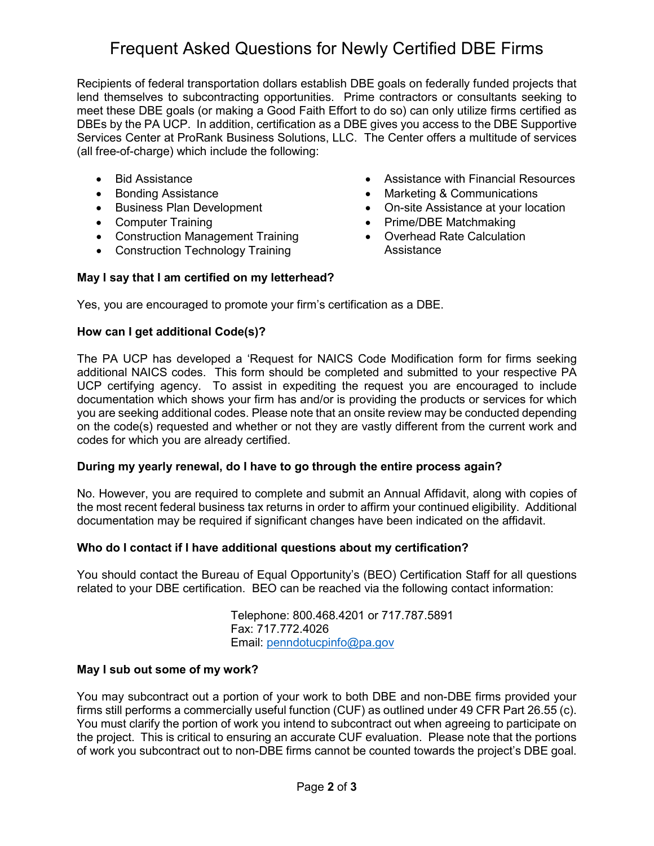# Frequent Asked Questions for Newly Certified DBE Firms

Recipients of federal transportation dollars establish DBE goals on federally funded projects that lend themselves to subcontracting opportunities. Prime contractors or consultants seeking to meet these DBE goals (or making a Good Faith Effort to do so) can only utilize firms certified as DBEs by the PA UCP. In addition, certification as a DBE gives you access to the DBE Supportive Services Center at ProRank Business Solutions, LLC. The Center offers a multitude of services (all free-of-charge) which include the following:

- Bid Assistance
- Bonding Assistance
- Business Plan Development
- Computer Training
- Construction Management Training
- Construction Technology Training
- Assistance with Financial Resources
- Marketing & Communications
- On-site Assistance at your location
- Prime/DBE Matchmaking
- Overhead Rate Calculation Assistance

## **May I say that I am certified on my letterhead?**

Yes, you are encouraged to promote your firm's certification as a DBE.

### **How can I get additional Code(s)?**

The PA UCP has developed a 'Request for NAICS Code Modification form for firms seeking additional NAICS codes. This form should be completed and submitted to your respective PA UCP certifying agency. To assist in expediting the request you are encouraged to include documentation which shows your firm has and/or is providing the products or services for which you are seeking additional codes. Please note that an onsite review may be conducted depending on the code(s) requested and whether or not they are vastly different from the current work and codes for which you are already certified.

#### **During my yearly renewal, do I have to go through the entire process again?**

No. However, you are required to complete and submit an Annual Affidavit, along with copies of the most recent federal business tax returns in order to affirm your continued eligibility. Additional documentation may be required if significant changes have been indicated on the affidavit.

#### **Who do I contact if I have additional questions about my certification?**

You should contact the Bureau of Equal Opportunity's (BEO) Certification Staff for all questions related to your DBE certification. BEO can be reached via the following contact information:

> Telephone: 800.468.4201 or 717.787.5891 Fax: 717.772.4026 Email: [penndotucpinfo@pa.gov](mailto:penndotucpinfo@pa.gov)

#### **May I sub out some of my work?**

You may subcontract out a portion of your work to both DBE and non-DBE firms provided your firms still performs a commercially useful function (CUF) as outlined under 49 CFR Part 26.55 (c). You must clarify the portion of work you intend to subcontract out when agreeing to participate on the project. This is critical to ensuring an accurate CUF evaluation. Please note that the portions of work you subcontract out to non-DBE firms cannot be counted towards the project's DBE goal.